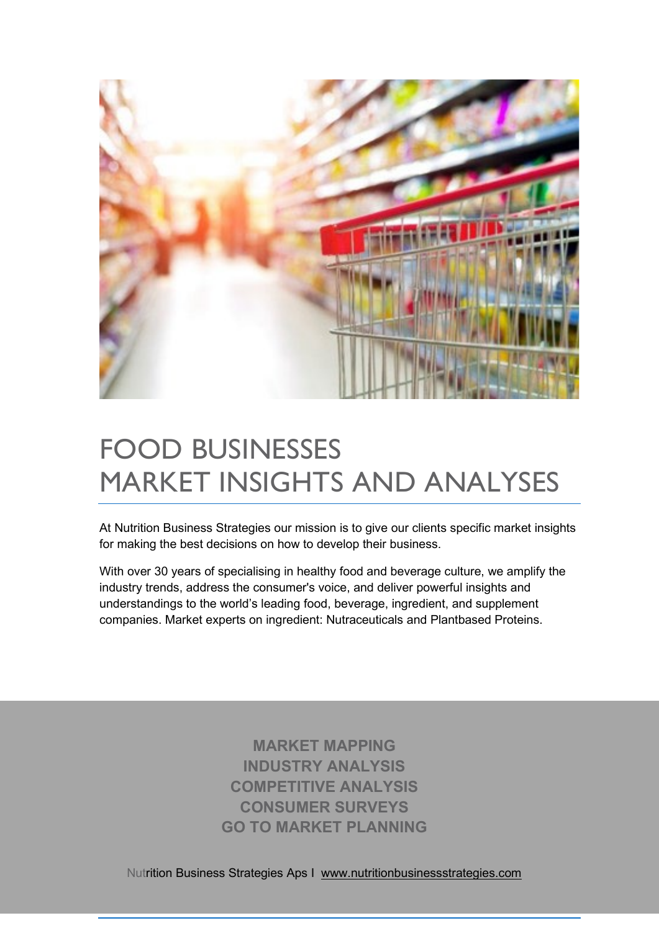

# FOOD BUSINESSES MARKET INSIGHTS AND ANALYSES

At Nutrition Business Strategies our mission is to give our clients specific market insights for making the best decisions on how to develop their business.

[With over 30 years of specialising in healthy food and beverage culture, we amplify the](https://www.healthfocus.com/)  [industry trends, address the consumer's voice, and deliver powerful insights and](https://www.healthfocus.com/)  [understandings to the world's leading food, beverage, ingredient, and supplement](https://www.healthfocus.com/)  [companies.](https://www.healthfocus.com/) Market experts on ingredient: Nutraceuticals and Plantbased Proteins.

> **MARKET MAPPING INDUSTRY ANALYSIS COMPETITIVE ANALYSIS CONSUMER SURVEYS GO TO MARKET PLANNING**

Nutrition Business Strategies Aps I [www.nutritionbusinessstrategies.com](http://www.nutritionbusinessstrategies.com/)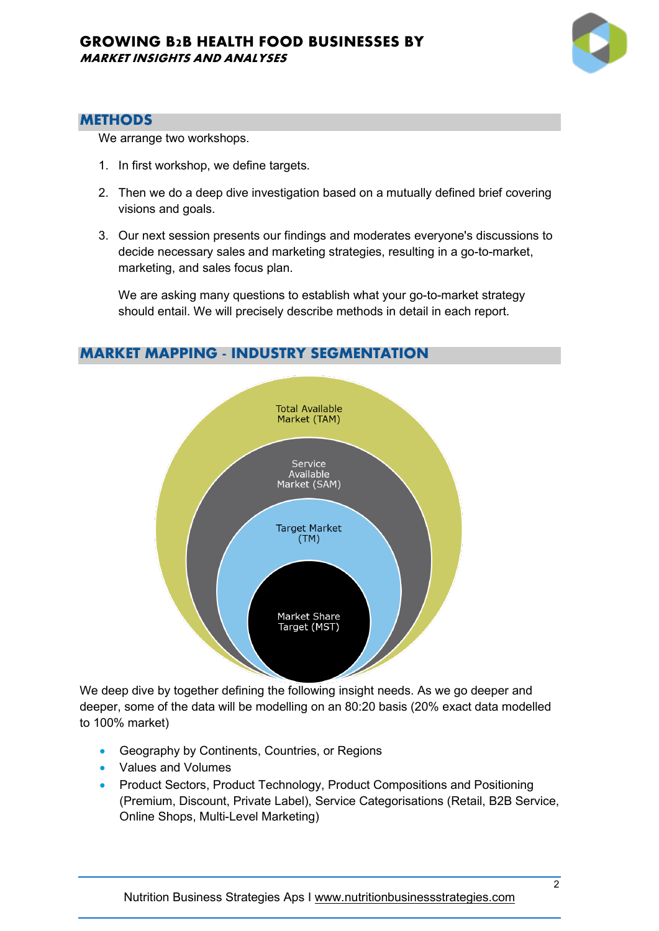

## **METHODS**

We arrange two workshops.

- 1. In first workshop, we define targets.
- 2. Then we do a deep dive investigation based on a mutually defined brief covering visions and goals.
- 3. Our next session presents our findings and moderates everyone's discussions to decide necessary sales and marketing strategies, resulting in a go-to-market, marketing, and sales focus plan.

We are asking many questions to establish what your go-to-market strategy should entail. We will precisely describe methods in detail in each report.

# **MARKET MAPPING - INDUSTRY SEGMENTATION**



We deep dive by together defining the following insight needs. As we go deeper and deeper, some of the data will be modelling on an 80:20 basis (20% exact data modelled to 100% market)

- Geography by Continents, Countries, or Regions
- Values and Volumes
- Product Sectors, Product Technology, Product Compositions and Positioning (Premium, Discount, Private Label), Service Categorisations (Retail, B2B Service, Online Shops, Multi-Level Marketing)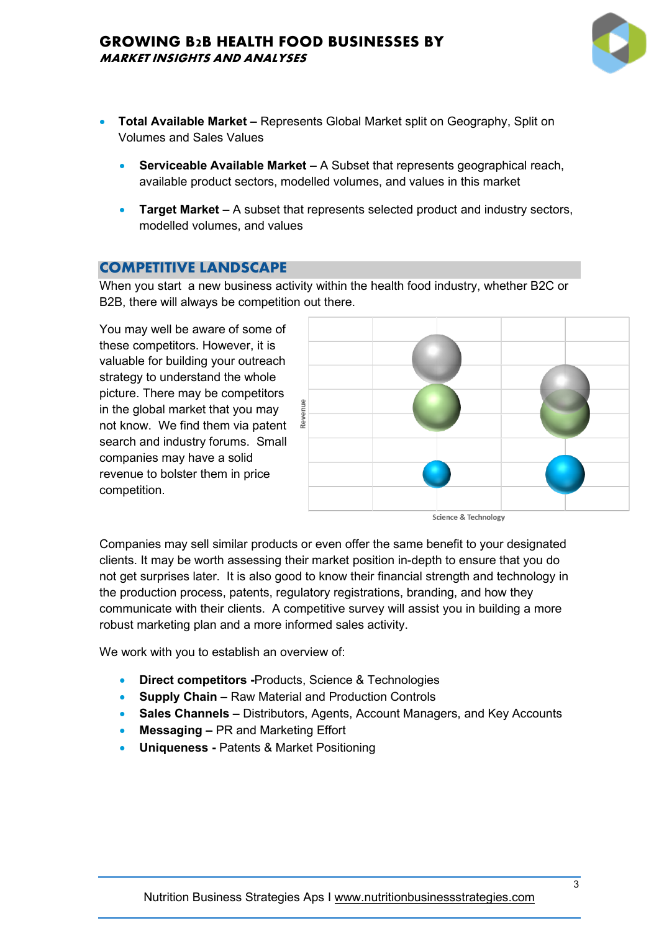

- **Total Available Market –** Represents Global Market split on Geography, Split on Volumes and Sales Values
	- **Serviceable Available Market –** A Subset that represents geographical reach, available product sectors, modelled volumes, and values in this market
	- **Target Market –** A subset that represents selected product and industry sectors, modelled volumes, and values

## **COMPETITIVE LANDSCAPE**

When you start a new business activity within the health food industry, whether B2C or B2B, there will always be competition out there.

You may well be aware of some of these competitors. However, it is valuable for building your outreach strategy to understand the whole picture. There may be competitors in the global market that you may not know. We find them via patent search and industry forums. Small companies may have a solid revenue to bolster them in price competition.



Companies may sell similar products or even offer the same benefit to your designated clients. It may be worth assessing their market position in-depth to ensure that you do not get surprises later. It is also good to know their financial strength and technology in the production process, patents, regulatory registrations, branding, and how they communicate with their clients. A competitive survey will assist you in building a more robust marketing plan and a more informed sales activity.

We work with you to establish an overview of:

- **Direct competitors -**Products, Science & Technologies
- **Supply Chain –** Raw Material and Production Controls
- **Sales Channels –** Distributors, Agents, Account Managers, and Key Accounts
- **Messaging –** PR and Marketing Effort
- **Uniqueness -** Patents & Market Positioning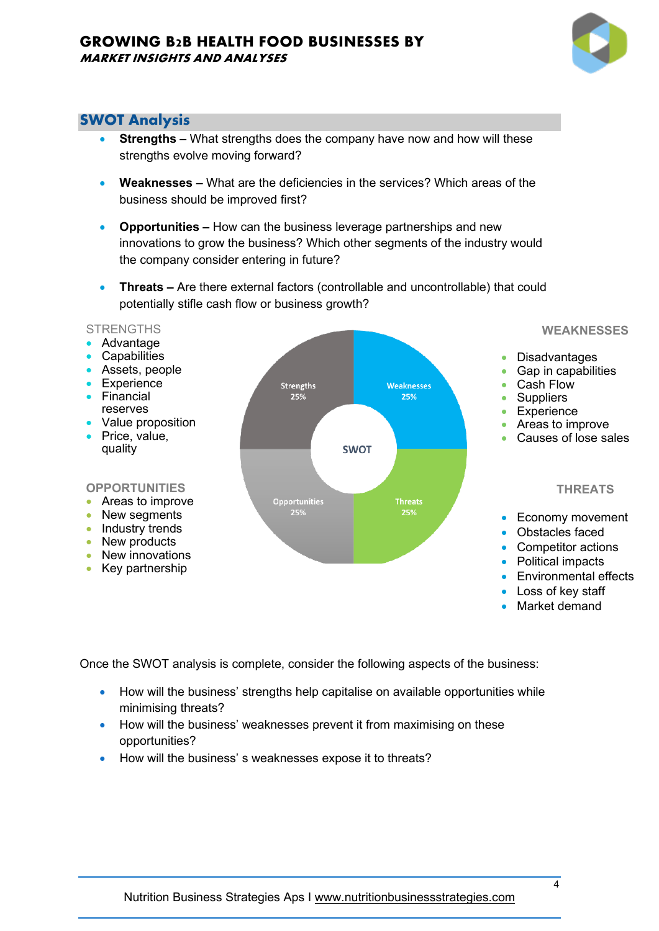# **SWOT Analysis**

- **Strengths –** What strengths does the company have now and how will these strengths evolve moving forward?
- **Weaknesses –** What are the deficiencies in the services? Which areas of the business should be improved first?
- **Opportunities –** How can the business leverage partnerships and new innovations to grow the business? Which other segments of the industry would the company consider entering in future?
- **Threats –** Are there external factors (controllable and uncontrollable) that could potentially stifle cash flow or business growth?

## **STRENGTHS**

- Advantage
- **Capabilities**
- Assets, people
- Experience • Financial
- reserves
- Value proposition
- Price, value, quality

## **OPPORTUNITIES**

- Areas to improve
- New seaments
- Industry trends
- New products
- New innovations
- Key partnership



**WEAKNESSES**

- Disadvantages
- Gap in capabilities
- Cash Flow
- Suppliers
- Experience
- Areas to improve
- Causes of lose sales

## **THREATS**

- Economy movement
- Obstacles faced
- Competitor actions
- Political impacts
- Environmental effects
- Loss of key staff
- Market demand

Once the SWOT analysis is complete, consider the following aspects of the business:

- How will the business' strengths help capitalise on available opportunities while minimising threats?
- How will the business' weaknesses prevent it from maximising on these opportunities?
- How will the business' s weaknesses expose it to threats?

4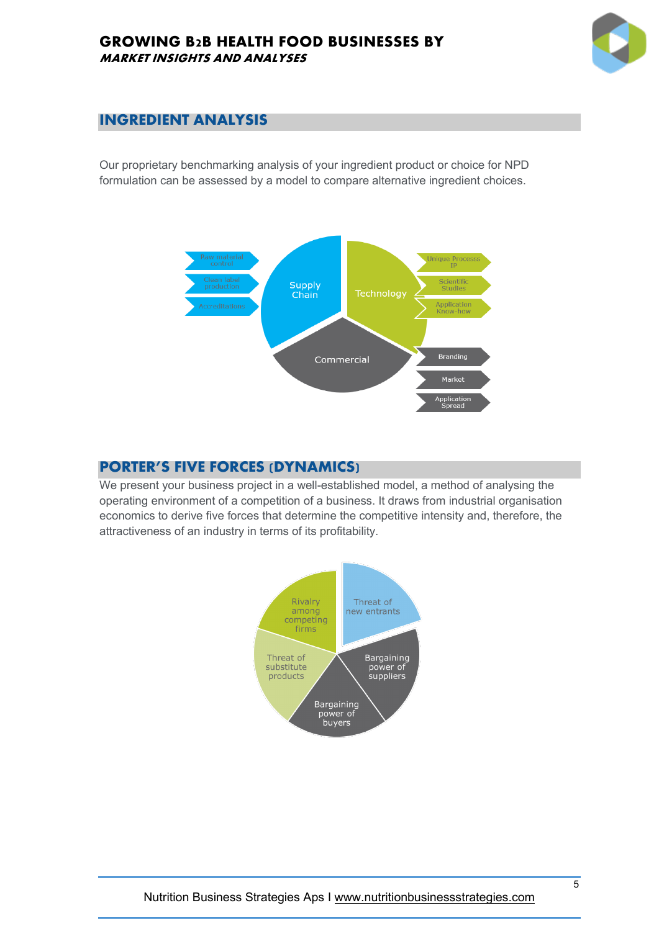

# **INGREDIENT ANALYSIS**

Our proprietary benchmarking analysis of your ingredient product or choice for NPD formulation can be assessed by a model to compare alternative ingredient choices.



# **PORTER'S FIVE FORCES (DYNAMICS)**

We present your business project in a well-established model, a method of analysing the operating environment of a competition of a business. It draws from industrial organisation economics to derive five forces that determine the competitive intensity and, therefore, the attractiveness of an industry in terms of its profitability.

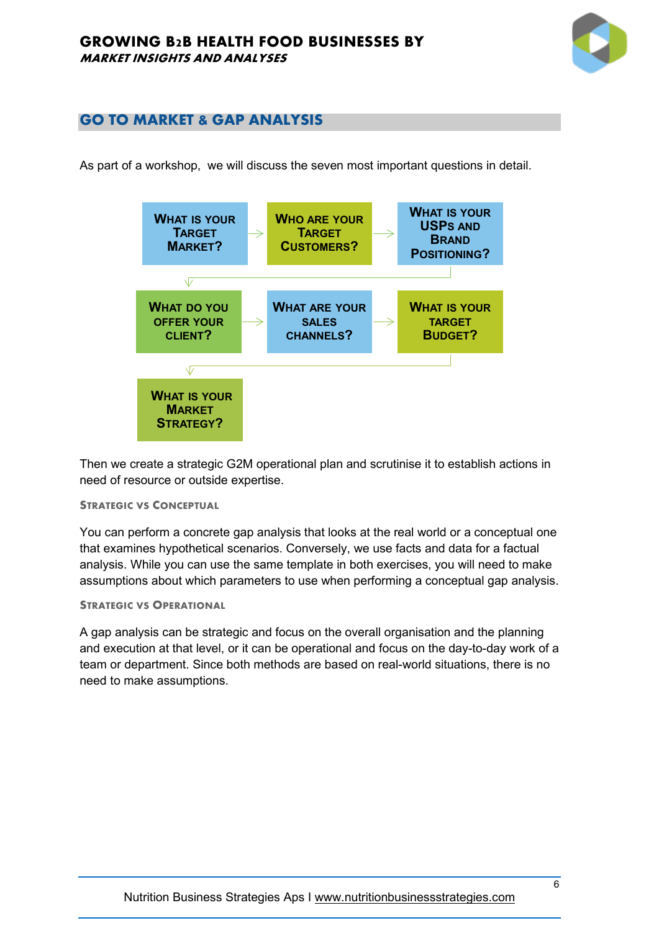

# **GO TO MARKET & GAP ANALYSIS**

As part of a workshop, we will discuss the seven most important questions in detail.



Then we create a strategic G2M operational plan and scrutinise it to establish actions in need of resource or outside expertise.

## **STRATEGIC VS CONCEPTUAL**

You can perform a concrete gap analysis that looks at the real world or a conceptual one that examines hypothetical scenarios. Conversely, we use facts and data for a factual analysis. While you can use the same template in both exercises, you will need to make assumptions about which parameters to use when performing a conceptual gap analysis.

## **STRATEGIC VS OPERATIONAL**

A gap analysis can be strategic and focus on the overall organisation and the planning and execution at that level, or it can be operational and focus on the day-to-day work of a team or department. Since both methods are based on real-world situations, there is no need to make assumptions.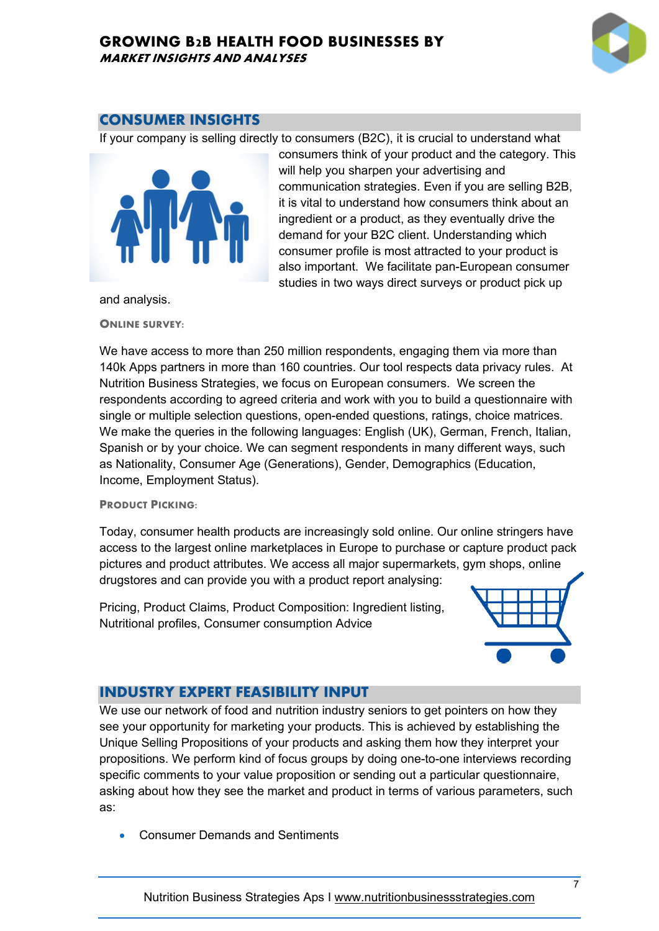

## **CONSUMER INSIGHTS**

If your company is selling directly to consumers (B2C), it is crucial to understand what



consumers think of your product and the category. This will help you sharpen your advertising and communication strategies. Even if you are selling B2B, it is vital to understand how consumers think about an ingredient or a product, as they eventually drive the demand for your B2C client. Understanding which consumer profile is most attracted to your product is also important. We facilitate pan-European consumer studies in two ways direct surveys or product pick up

and analysis.

**ONLINE SURVEY:**

We have access to more than 250 million respondents, engaging them via more than 140k Apps partners in more than 160 countries. Our tool respects data privacy rules. At Nutrition Business Strategies, we focus on European consumers. We screen the respondents according to agreed criteria and work with you to build a questionnaire with single or multiple selection questions, open-ended questions, ratings, choice matrices. We make the queries in the following languages: English (UK), German, French, Italian, Spanish or by your choice. We can segment respondents in many different ways, such as Nationality, Consumer Age (Generations), Gender, Demographics (Education, Income, Employment Status).

## **PRODUCT PICKING:**

Today, consumer health products are increasingly sold online. Our online stringers have access to the largest online marketplaces in Europe to purchase or capture product pack pictures and product attributes. We access all major supermarkets, gym shops, online drugstores and can provide you with a product report analysing:

Pricing, Product Claims, Product Composition: Ingredient listing, Nutritional profiles, Consumer consumption Advice



## **INDUSTRY EXPERT FEASIBILITY INPUT**

We use our network of food and nutrition industry seniors to get pointers on how they see your opportunity for marketing your products. This is achieved by establishing the Unique Selling Propositions of your products and asking them how they interpret your propositions. We perform kind of focus groups by doing one-to-one interviews recording specific comments to your value proposition or sending out a particular questionnaire, asking about how they see the market and product in terms of various parameters, such as:

• Consumer Demands and Sentiments